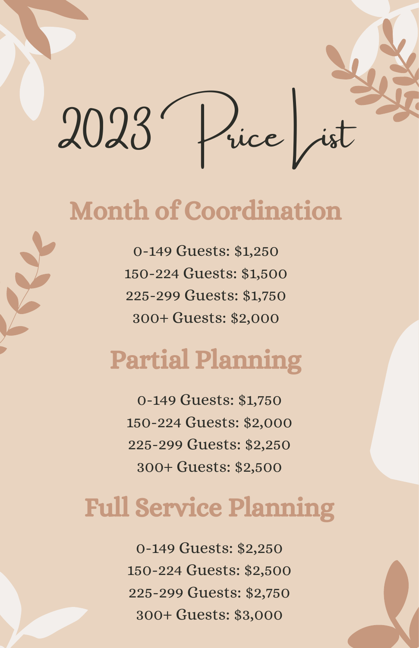

# Month of Coordination

0-149 Guests: \$1,250 150-224 Guests: \$1,500 225-299 Guests: \$1,750 300+ Guests: \$2,000

# Partial Planning

0-149 Guests: \$1,750 150-224 Guests: \$2,000 225-299 Guests: \$2,250 300+ Guests: \$2,500

# Full Service Planning

0-149 Guests: \$2,250 150-224 Guests: \$2,500 225-299 Guests: \$2,750 300+ Guests: \$3,000